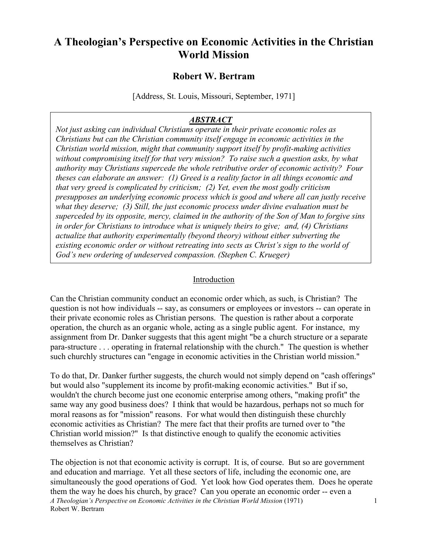## **A Theologian's Perspective on Economic Activities in the Christian World Mission**

## **Robert W. Bertram**

[Address, St. Louis, Missouri, September, 1971]

## *ABSTRACT*

*Not just asking can individual Christians operate in their private economic roles as Christians but can the Christian community itself engage in economic activities in the Christian world mission, might that community support itself by profit-making activities without compromising itself for that very mission? To raise such a question asks, by what authority may Christians supercede the whole retributive order of economic activity? Four theses can elaborate an answer: (1) Greed is a reality factor in all things economic and that very greed is complicated by criticism; (2) Yet, even the most godly criticism presupposes an underlying economic process which is good and where all can justly receive what they deserve; (3) Still, the just economic process under divine evaluation must be superceded by its opposite, mercy, claimed in the authority of the Son of Man to forgive sins in order for Christians to introduce what is uniquely theirs to give; and, (4) Christians actualize that authority experimentally (beyond theory) without either subverting the existing economic order or without retreating into sects as Christ's sign to the world of God's new ordering of undeserved compassion. (Stephen C. Krueger)*

## Introduction

Can the Christian community conduct an economic order which, as such, is Christian? The question is not how individuals -- say, as consumers or employees or investors -- can operate in their private economic roles as Christian persons. The question is rather about a corporate operation, the church as an organic whole, acting as a single public agent. For instance, my assignment from Dr. Danker suggests that this agent might "be a church structure or a separate para-structure . . . operating in fraternal relationship with the church." The question is whether such churchly structures can "engage in economic activities in the Christian world mission."

To do that, Dr. Danker further suggests, the church would not simply depend on "cash offerings" but would also "supplement its income by profit-making economic activities." But if so, wouldn't the church become just one economic enterprise among others, "making profit" the same way any good business does? I think that would be hazardous, perhaps not so much for moral reasons as for "mission" reasons. For what would then distinguish these churchly economic activities as Christian? The mere fact that their profits are turned over to "the Christian world mission?" Is that distinctive enough to qualify the economic activities themselves as Christian?

*A Theologian's Perspective on Economic Activities in the Christian World Mission* (1971) Robert W. Bertram 1 The objection is not that economic activity is corrupt. It is, of course. But so are government and education and marriage. Yet all these sectors of life, including the economic one, are simultaneously the good operations of God. Yet look how God operates them. Does he operate them the way he does his church, by grace? Can you operate an economic order -- even a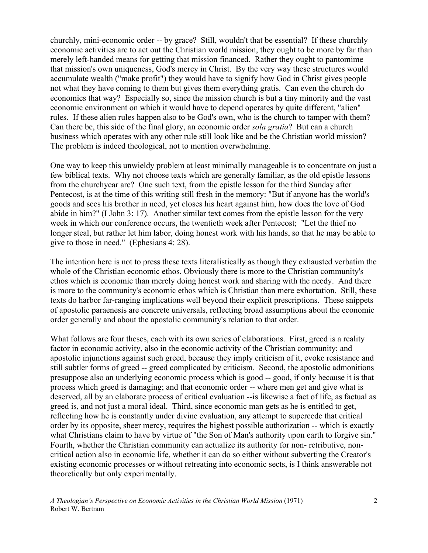churchly, mini-economic order -- by grace? Still, wouldn't that be essential? If these churchly economic activities are to act out the Christian world mission, they ought to be more by far than merely left-handed means for getting that mission financed. Rather they ought to pantomime that mission's own uniqueness, God's mercy in Christ. By the very way these structures would accumulate wealth ("make profit") they would have to signify how God in Christ gives people not what they have coming to them but gives them everything gratis. Can even the church do economics that way? Especially so, since the mission church is but a tiny minority and the vast economic environment on which it would have to depend operates by quite different, "alien" rules. If these alien rules happen also to be God's own, who is the church to tamper with them? Can there be, this side of the final glory, an economic order *sola gratia*? But can a church business which operates with any other rule still look like and be the Christian world mission? The problem is indeed theological, not to mention overwhelming.

One way to keep this unwieldy problem at least minimally manageable is to concentrate on just a few biblical texts. Why not choose texts which are generally familiar, as the old epistle lessons from the churchyear are? One such text, from the epistle lesson for the third Sunday after Pentecost, is at the time of this writing still fresh in the memory: "But if anyone has the world's goods and sees his brother in need, yet closes his heart against him, how does the love of God abide in him?" (I John 3: 17). Another similar text comes from the epistle lesson for the very week in which our conference occurs, the twentieth week after Pentecost; "Let the thief no longer steal, but rather let him labor, doing honest work with his hands, so that he may be able to give to those in need." (Ephesians 4: 28).

The intention here is not to press these texts literalistically as though they exhausted verbatim the whole of the Christian economic ethos. Obviously there is more to the Christian community's ethos which is economic than merely doing honest work and sharing with the needy. And there is more to the community's economic ethos which is Christian than mere exhortation. Still, these texts do harbor far-ranging implications well beyond their explicit prescriptions. These snippets of apostolic paraenesis are concrete universals, reflecting broad assumptions about the economic order generally and about the apostolic community's relation to that order.

What follows are four theses, each with its own series of elaborations. First, greed is a reality factor in economic activity, also in the economic activity of the Christian community; and apostolic injunctions against such greed, because they imply criticism of it, evoke resistance and still subtler forms of greed -- greed complicated by criticism. Second, the apostolic admonitions presuppose also an underlying economic process which is good -- good, if only because it is that process which greed is damaging; and that economic order -- where men get and give what is deserved, all by an elaborate process of critical evaluation --is likewise a fact of life, as factual as greed is, and not just a moral ideal. Third, since economic man gets as he is entitled to get, reflecting how he is constantly under divine evaluation, any attempt to supercede that critical order by its opposite, sheer mercy, requires the highest possible authorization -- which is exactly what Christians claim to have by virtue of "the Son of Man's authority upon earth to forgive sin." Fourth, whether the Christian community can actualize its authority for non- retributive, noncritical action also in economic life, whether it can do so either without subverting the Creator's existing economic processes or without retreating into economic sects, is I think answerable not theoretically but only experimentally.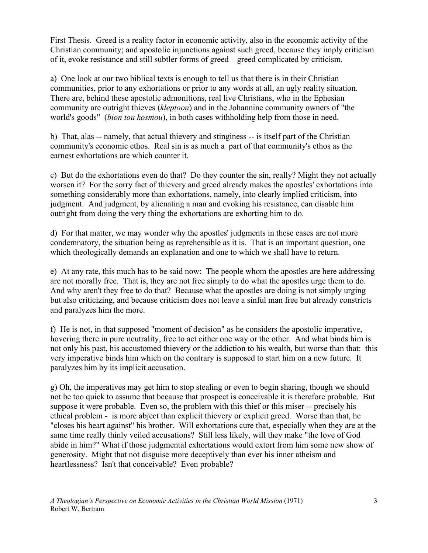First Thesis. Greed is a reality factor in economic activity, also in the economic activity of the Christian community; and apostolic injunctions against such greed, because they imply criticism of it, evoke resistance and still subtler forms of greed – greed complicated by criticism.

a) One look at our two biblical texts is enough to tell us that there is in their Christian communities, prior to any exhortations or prior to any words at all, an ugly reality situation. There are, behind these apostolic admonitions, real live Christians, who in the Ephesian community are outright thieves (*kleptoon*) and in the Johannine community owners of "the world's goods" (*bion tou kosmou*), in both cases withholding help from those in need.

b) That, alas -- namely, that actual thievery and stinginess -- is itself part of the Christian community's economic ethos. Real sin is as much a part of that community's ethos as the earnest exhortations are which counter it.

c) But do the exhortations even do that? Do they counter the sin, really? Might they not actually worsen it? For the sorry fact of thievery and greed already makes the apostles' exhortations into something considerably more than exhortations, namely, into clearly implied criticism, into judgment. And judgment, by alienating a man and evoking his resistance, can disable him outright from doing the very thing the exhortations are exhorting him to do.

d) For that matter, we may wonder why the apostles' judgments in these cases are not more condemnatory, the situation being as reprehensible as it is. That is an important question, one which theologically demands an explanation and one to which we shall have to return.

e) At any rate, this much has to be said now: The people whom the apostles are here addressing are not morally free. That is, they are not free simply to do what the apostles urge them to do. And why aren't they free to do that? Because what the apostles are doing is not simply urging but also criticizing, and because criticism does not leave a sinful man free but already constricts and paralyzes him the more.

f) He is not, in that supposed "moment of decision" as he considers the apostolic imperative, hovering there in pure neutrality, free to act either one way or the other. And what binds him is not only his past, his accustomed thievery or the addiction to his wealth, but worse than that: this very imperative binds him which on the contrary is supposed to start him on a new future. It paralyzes him by its implicit accusation.

g) Oh, the imperatives may get him to stop stealing or even to begin sharing, though we should not be too quick to assume that because that prospect is conceivable it is therefore probable. But suppose it were probable. Even so, the problem with this thief or this miser -- precisely his ethical problem - is more abject than explicit thievery or explicit greed. Worse than that, he "closes his heart against" his brother. Will exhortations cure that, especially when they are at the same time really thinly veiled accusations? Still less likely, will they make "the love of God abide in him?" What if those judgmental exhortations would extort from him some new show of generosity. Might that not disguise more deceptively than ever his inner atheism and heartlessness? Isn't that conceivable? Even probable?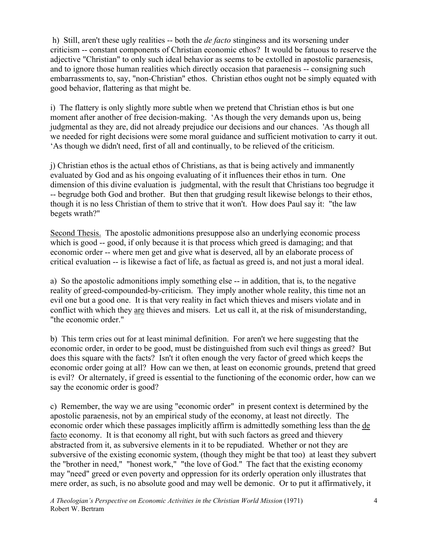h) Still, aren't these ugly realities -- both the *de facto* stinginess and its worsening under criticism -- constant components of Christian economic ethos? It would be fatuous to reserve the adjective "Christian" to only such ideal behavior as seems to be extolled in apostolic paraenesis, and to ignore those human realities which directly occasion that paraenesis -- consigning such embarrassments to, say, "non-Christian" ethos. Christian ethos ought not be simply equated with good behavior, flattering as that might be.

i) The flattery is only slightly more subtle when we pretend that Christian ethos is but one moment after another of free decision-making. 'As though the very demands upon us, being judgmental as they are, did not already prejudice our decisions and our chances. 'As though all we needed for right decisions were some moral guidance and sufficient motivation to carry it out. 'As though we didn't need, first of all and continually, to be relieved of the criticism.

j) Christian ethos is the actual ethos of Christians, as that is being actively and immanently evaluated by God and as his ongoing evaluating of it influences their ethos in turn. One dimension of this divine evaluation is judgmental, with the result that Christians too begrudge it -- begrudge both God and brother. But then that grudging result likewise belongs to their ethos, though it is no less Christian of them to strive that it won't. How does Paul say it: "the law begets wrath?"

Second Thesis. The apostolic admonitions presuppose also an underlying economic process which is good -- good, if only because it is that process which greed is damaging; and that economic order -- where men get and give what is deserved, all by an elaborate process of critical evaluation -- is likewise a fact of life, as factual as greed is, and not just a moral ideal.

a) So the apostolic admonitions imply something else -- in addition, that is, to the negative reality of greed-compounded-by-criticism. They imply another whole reality, this time not an evil one but a good one. It is that very reality in fact which thieves and misers violate and in conflict with which they are thieves and misers. Let us call it, at the risk of misunderstanding, "the economic order."

b) This term cries out for at least minimal definition. For aren't we here suggesting that the economic order, in order to be good, must be distinguished from such evil things as greed? But does this square with the facts? Isn't it often enough the very factor of greed which keeps the economic order going at all? How can we then, at least on economic grounds, pretend that greed is evil? Or alternately, if greed is essential to the functioning of the economic order, how can we say the economic order is good?

c) Remember, the way we are using "economic order" in present context is determined by the apostolic paraenesis, not by an empirical study of the economy, at least not directly. The economic order which these passages implicitly affirm is admittedly something less than the de facto economy. It is that economy all right, but with such factors as greed and thievery abstracted from it, as subversive elements in it to be repudiated. Whether or not they are subversive of the existing economic system, (though they might be that too) at least they subvert the "brother in need," "honest work," "the love of God." The fact that the existing economy may "need" greed or even poverty and oppression for its orderly operation only illustrates that mere order, as such, is no absolute good and may well be demonic. Or to put it affirmatively, it

*A Theologian's Perspective on Economic Activities in the Christian World Mission* (1971) Robert W. Bertram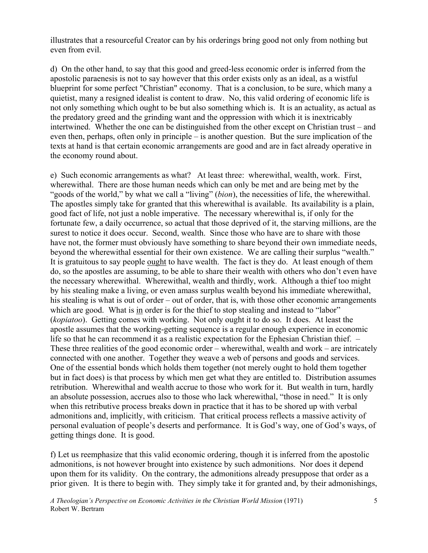illustrates that a resourceful Creator can by his orderings bring good not only from nothing but even from evil.

d) On the other hand, to say that this good and greed-less economic order is inferred from the apostolic paraenesis is not to say however that this order exists only as an ideal, as a wistful blueprint for some perfect "Christian" economy. That is a conclusion, to be sure, which many a quietist, many a resigned idealist is content to draw. No, this valid ordering of economic life is not only something which ought to be but also something which is. It is an actuality, as actual as the predatory greed and the grinding want and the oppression with which it is inextricably intertwined. Whether the one can be distinguished from the other except on Christian trust – and even then, perhaps, often only in principle – is another question. But the sure implication of the texts at hand is that certain economic arrangements are good and are in fact already operative in the economy round about.

e) Such economic arrangements as what? At least three: wherewithal, wealth, work. First, wherewithal. There are those human needs which can only be met and are being met by the "goods of the world," by what we call a "living" (*bion*), the necessities of life, the wherewithal. The apostles simply take for granted that this wherewithal is available. Its availability is a plain, good fact of life, not just a noble imperative. The necessary wherewithal is, if only for the fortunate few, a daily occurrence, so actual that those deprived of it, the starving millions, are the surest to notice it does occur. Second, wealth. Since those who have are to share with those have not, the former must obviously have something to share beyond their own immediate needs, beyond the wherewithal essential for their own existence. We are calling their surplus "wealth." It is gratuitous to say people ought to have wealth. The fact is they do. At least enough of them do, so the apostles are assuming, to be able to share their wealth with others who don't even have the necessary wherewithal. Wherewithal, wealth and thirdly, work. Although a thief too might by his stealing make a living, or even amass surplus wealth beyond his immediate wherewithal, his stealing is what is out of order – out of order, that is, with those other economic arrangements which are good. What is in order is for the thief to stop stealing and instead to "labor" (*kopiatoo*). Getting comes with working. Not only ought it to do so. It does. At least the apostle assumes that the working-getting sequence is a regular enough experience in economic life so that he can recommend it as a realistic expectation for the Ephesian Christian thief. – These three realities of the good economic order – wherewithal, wealth and work – are intricately connected with one another. Together they weave a web of persons and goods and services. One of the essential bonds which holds them together (not merely ought to hold them together but in fact does) is that process by which men get what they are entitled to. Distribution assumes retribution. Wherewithal and wealth accrue to those who work for it. But wealth in turn, hardly an absolute possession, accrues also to those who lack wherewithal, "those in need." It is only when this retributive process breaks down in practice that it has to be shored up with verbal admonitions and, implicitly, with criticism. That critical process reflects a massive activity of personal evaluation of people's deserts and performance. It is God's way, one of God's ways, of getting things done. It is good.

f) Let us reemphasize that this valid economic ordering, though it is inferred from the apostolic admonitions, is not however brought into existence by such admonitions. Nor does it depend upon them for its validity. On the contrary, the admonitions already presuppose that order as a prior given. It is there to begin with. They simply take it for granted and, by their admonishings,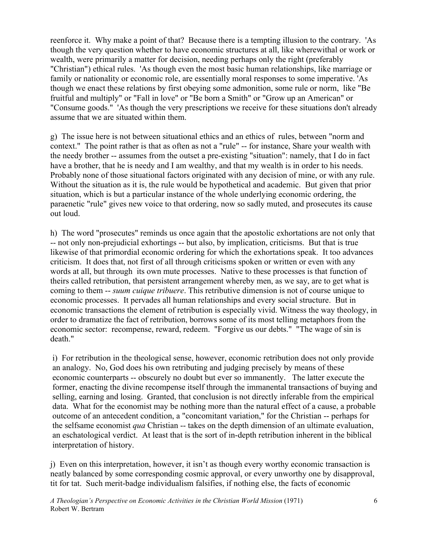reenforce it. Why make a point of that? Because there is a tempting illusion to the contrary. 'As though the very question whether to have economic structures at all, like wherewithal or work or wealth, were primarily a matter for decision, needing perhaps only the right (preferably "Christian") ethical rules. 'As though even the most basic human relationships, like marriage or family or nationality or economic role, are essentially moral responses to some imperative. 'As though we enact these relations by first obeying some admonition, some rule or norm, like "Be fruitful and multiply" or "Fall in love" or "Be born a Smith" or "Grow up an American" or "Consume goods." 'As though the very prescriptions we receive for these situations don't already assume that we are situated within them.

g) The issue here is not between situational ethics and an ethics of rules, between "norm and context." The point rather is that as often as not a "rule" -- for instance, Share your wealth with the needy brother -- assumes from the outset a pre-existing "situation": namely, that I do in fact have a brother, that he is needy and I am wealthy, and that my wealth is in order to his needs. Probably none of those situational factors originated with any decision of mine, or with any rule. Without the situation as it is, the rule would be hypothetical and academic. But given that prior situation, which is but a particular instance of the whole underlying economic ordering, the paraenetic "rule" gives new voice to that ordering, now so sadly muted, and prosecutes its cause out loud.

h) The word "prosecutes" reminds us once again that the apostolic exhortations are not only that -- not only non-prejudicial exhortings -- but also, by implication, criticisms. But that is true likewise of that primordial economic ordering for which the exhortations speak. It too advances criticism. It does that, not first of all through criticisms spoken or written or even with any words at all, but through its own mute processes. Native to these processes is that function of theirs called retribution, that persistent arrangement whereby men, as we say, are to get what is coming to them -- *suum cuique tribuere*. This retributive dimension is not of course unique to economic processes. It pervades all human relationships and every social structure. But in economic transactions the element of retribution is especially vivid. Witness the way theology, in order to dramatize the fact of retribution, borrows some of its most telling metaphors from the economic sector: recompense, reward, redeem. "Forgive us our debts." "The wage of sin is death."

i) For retribution in the theological sense, however, economic retribution does not only provide an analogy. No, God does his own retributing and judging precisely by means of these economic counterparts -- obscurely no doubt but ever so immanently. The latter execute the former, enacting the divine recompense itself through the immanental transactions of buying and selling, earning and losing. Granted, that conclusion is not directly inferable from the empirical data. What for the economist may be nothing more than the natural effect of a cause, a probable outcome of an antecedent condition, a "concomitant variation," for the Christian -- perhaps for the selfsame economist *qua* Christian -- takes on the depth dimension of an ultimate evaluation, an eschatological verdict. At least that is the sort of in-depth retribution inherent in the biblical interpretation of history.

j) Even on this interpretation, however, it isn't as though every worthy economic transaction is neatly balanced by some corresponding cosmic approval, or every unworthy one by disapproval, tit for tat. Such merit-badge individualism falsifies, if nothing else, the facts of economic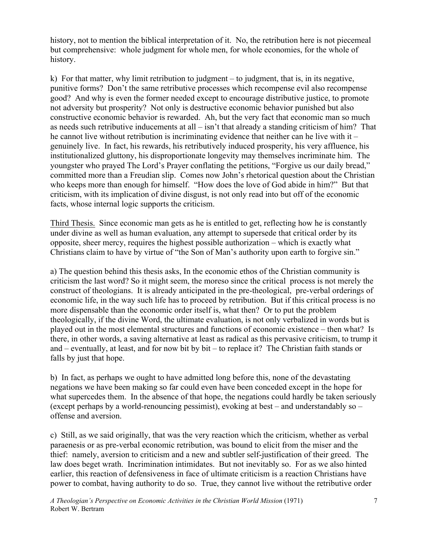history, not to mention the biblical interpretation of it. No, the retribution here is not piecemeal but comprehensive: whole judgment for whole men, for whole economies, for the whole of history.

k) For that matter, why limit retribution to judgment – to judgment, that is, in its negative, punitive forms? Don't the same retributive processes which recompense evil also recompense good? And why is even the former needed except to encourage distributive justice, to promote not adversity but prosperity? Not only is destructive economic behavior punished but also constructive economic behavior is rewarded. Ah, but the very fact that economic man so much as needs such retributive inducements at all – isn't that already a standing criticism of him? That he cannot live without retribution is incriminating evidence that neither can he live with it  $$ genuinely live. In fact, his rewards, his retributively induced prosperity, his very affluence, his institutionalized gluttony, his disproportionate longevity may themselves incriminate him. The youngster who prayed The Lord's Prayer conflating the petitions, "Forgive us our daily bread," committed more than a Freudian slip. Comes now John's rhetorical question about the Christian who keeps more than enough for himself. "How does the love of God abide in him?" But that criticism, with its implication of divine disgust, is not only read into but off of the economic facts, whose internal logic supports the criticism.

Third Thesis. Since economic man gets as he is entitled to get, reflecting how he is constantly under divine as well as human evaluation, any attempt to supersede that critical order by its opposite, sheer mercy, requires the highest possible authorization – which is exactly what Christians claim to have by virtue of "the Son of Man's authority upon earth to forgive sin."

a) The question behind this thesis asks, In the economic ethos of the Christian community is criticism the last word? So it might seem, the moreso since the critical process is not merely the construct of theologians. It is already anticipated in the pre-theological, pre-verbal orderings of economic life, in the way such life has to proceed by retribution. But if this critical process is no more dispensable than the economic order itself is, what then? Or to put the problem theologically, if the divine Word, the ultimate evaluation, is not only verbalized in words but is played out in the most elemental structures and functions of economic existence – then what? Is there, in other words, a saving alternative at least as radical as this pervasive criticism, to trump it and – eventually, at least, and for now bit by bit – to replace it? The Christian faith stands or falls by just that hope.

b) In fact, as perhaps we ought to have admitted long before this, none of the devastating negations we have been making so far could even have been conceded except in the hope for what supercedes them. In the absence of that hope, the negations could hardly be taken seriously (except perhaps by a world-renouncing pessimist), evoking at best – and understandably so – offense and aversion.

c) Still, as we said originally, that was the very reaction which the criticism, whether as verbal paraenesis or as pre-verbal economic retribution, was bound to elicit from the miser and the thief: namely, aversion to criticism and a new and subtler self-justification of their greed. The law does beget wrath. Incrimination intimidates. But not inevitably so. For as we also hinted earlier, this reaction of defensiveness in face of ultimate criticism is a reaction Christians have power to combat, having authority to do so. True, they cannot live without the retributive order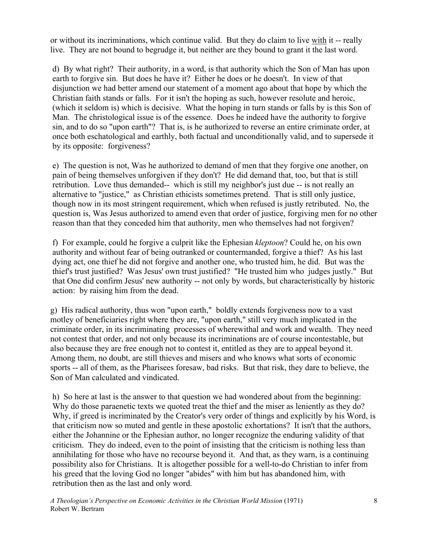or without its incriminations, which continue valid. But they do claim to live with it -- really live. They are not bound to begrudge it, but neither are they bound to grant it the last word.

d) By what right? Their authority, in a word, is that authority which the Son of Man has upon earth to forgive sin. But does he have it? Either he does or he doesn't. In view of that disjunction we had better amend our statement of a moment ago about that hope by which the Christian faith stands or falls. For it isn't the hoping as such, however resolute and heroic, (which it seldom is) which is decisive. What the hoping in turn stands or falls by is this Son of Man. The christological issue is of the essence. Does he indeed have the authority to forgive sin, and to do so "upon earth"? That is, is he authorized to reverse an entire criminate order, at once both eschatological and earthly, both factual and unconditionally valid, and to supersede it by its opposite: forgiveness?

e) The question is not, Was he authorized to demand of men that they forgive one another, on pain of being themselves unforgiven if they don't? He did demand that, too, but that is still retribution. Love thus demanded-- which is still my neighbor's just due -- is not really an alternative to "justice," as Christian ethicists sometimes pretend. That is still only justice, though now in its most stringent requirement, which when refused is justly retributed. No, the question is, Was Jesus authorized to amend even that order of justice, forgiving men for no other reason than that they conceded him that authority, men who themselves had not forgiven?

f) For example, could he forgive a culprit like the Ephesian *kleptoon*? Could he, on his own authority and without fear of being outranked or countermanded, forgive a thief? As his last dying act, one thief he did not forgive and another one, who trusted him, he did. But was the thief's trust justified? Was Jesus' own trust justified? "He trusted him who judges justly." But that One did confirm Jesus' new authority -- not only by words, but characteristically by historic action: by raising him from the dead.

g) His radical authority, thus won "upon earth," boldly extends forgiveness now to a vast motley of beneficiaries right where they are, "upon earth," still very much implicated in the criminate order, in its incriminating processes of wherewithal and work and wealth. They need not contest that order, and not only because its incriminations are of course incontestable, but also because they are free enough not to contest it, entitled as they are to appeal beyond it. Among them, no doubt, are still thieves and misers and who knows what sorts of economic sports -- all of them, as the Pharisees foresaw, bad risks. But that risk, they dare to believe, the Son of Man calculated and vindicated.

h) So here at last is the answer to that question we had wondered about from the beginning: Why do those paraenetic texts we quoted treat the thief and the miser as leniently as they do? Why, if greed is incriminated by the Creator's very order of things and explicitly by his Word, is that criticism now so muted and gentle in these apostolic exhortations? It isn't that the authors, either the Johannine or the Ephesian author, no longer recognize the enduring validity of that criticism. They do indeed, even to the point of insisting that the criticism is nothing less than annihilating for those who have no recourse beyond it. And that, as they warn, is a continuing possibility also for Christians. It is altogether possible for a well-to-do Christian to infer from his greed that the loving God no longer "abides" with him but has abandoned him, with retribution then as the last and only word.

*A Theologian's Perspective on Economic Activities in the Christian World Mission* (1971) Robert W. Bertram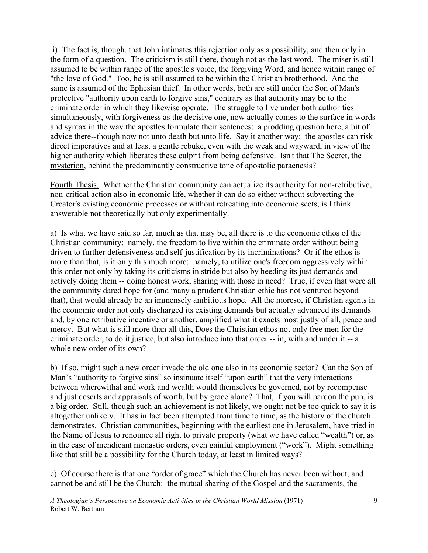i) The fact is, though, that John intimates this rejection only as a possibility, and then only in the form of a question. The criticism is still there, though not as the last word. The miser is still assumed to be within range of the apostle's voice, the forgiving Word, and hence within range of "the love of God." Too, he is still assumed to be within the Christian brotherhood. And the same is assumed of the Ephesian thief. In other words, both are still under the Son of Man's protective "authority upon earth to forgive sins," contrary as that authority may be to the criminate order in which they likewise operate. The struggle to live under both authorities simultaneously, with forgiveness as the decisive one, now actually comes to the surface in words and syntax in the way the apostles formulate their sentences: a prodding question here, a bit of advice there--though now not unto death but unto life. Say it another way: the apostles can risk direct imperatives and at least a gentle rebuke, even with the weak and wayward, in view of the higher authority which liberates these culprit from being defensive. Isn't that The Secret, the mysterion, behind the predominantly constructive tone of apostolic paraenesis?

Fourth Thesis. Whether the Christian community can actualize its authority for non-retributive, non-critical action also in economic life, whether it can do so either without subverting the Creator's existing economic processes or without retreating into economic sects, is I think answerable not theoretically but only experimentally.

a) Is what we have said so far, much as that may be, all there is to the economic ethos of the Christian community: namely, the freedom to live within the criminate order without being driven to further defensiveness and self-justification by its incriminations? Or if the ethos is more than that, is it only this much more: namely, to utilize one's freedom aggressively within this order not only by taking its criticisms in stride but also by heeding its just demands and actively doing them -- doing honest work, sharing with those in need? True, if even that were all the community dared hope for (and many a prudent Christian ethic has not ventured beyond that), that would already be an immensely ambitious hope. All the moreso, if Christian agents in the economic order not only discharged its existing demands but actually advanced its demands and, by one retributive incentive or another, amplified what it exacts most justly of all, peace and mercy. But what is still more than all this, Does the Christian ethos not only free men for the criminate order, to do it justice, but also introduce into that order -- in, with and under it -- a whole new order of its own?

b) If so, might such a new order invade the old one also in its economic sector? Can the Son of Man's "authority to forgive sins" so insinuate itself "upon earth" that the very interactions between wherewithal and work and wealth would themselves be governed, not by recompense and just deserts and appraisals of worth, but by grace alone? That, if you will pardon the pun, is a big order. Still, though such an achievement is not likely, we ought not be too quick to say it is altogether unlikely. It has in fact been attempted from time to time, as the history of the church demonstrates. Christian communities, beginning with the earliest one in Jerusalem, have tried in the Name of Jesus to renounce all right to private property (what we have called "wealth") or, as in the case of mendicant monastic orders, even gainful employment ("work"). Might something like that still be a possibility for the Church today, at least in limited ways?

c) Of course there is that one "order of grace" which the Church has never been without, and cannot be and still be the Church: the mutual sharing of the Gospel and the sacraments, the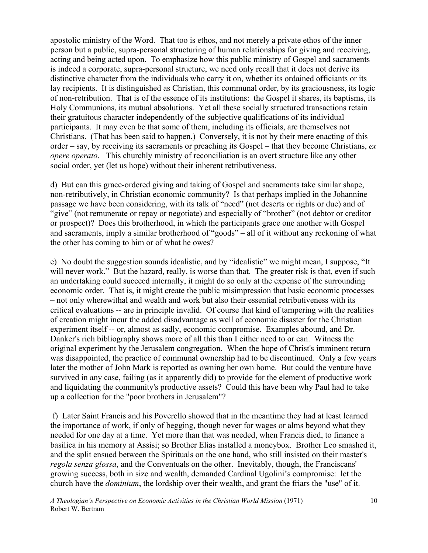apostolic ministry of the Word. That too is ethos, and not merely a private ethos of the inner person but a public, supra-personal structuring of human relationships for giving and receiving, acting and being acted upon. To emphasize how this public ministry of Gospel and sacraments is indeed a corporate, supra-personal structure, we need only recall that it does not derive its distinctive character from the individuals who carry it on, whether its ordained officiants or its lay recipients. It is distinguished as Christian, this communal order, by its graciousness, its logic of non-retribution. That is of the essence of its institutions: the Gospel it shares, its baptisms, its Holy Communions, its mutual absolutions. Yet all these socially structured transactions retain their gratuitous character independently of the subjective qualifications of its individual participants. It may even be that some of them, including its officials, are themselves not Christians. (That has been said to happen.) Conversely, it is not by their mere enacting of this order – say, by receiving its sacraments or preaching its Gospel – that they become Christians, *ex opere operato*. This churchly ministry of reconciliation is an overt structure like any other social order, yet (let us hope) without their inherent retributiveness.

d) But can this grace-ordered giving and taking of Gospel and sacraments take similar shape, non-retributively, in Christian economic community? Is that perhaps implied in the Johannine passage we have been considering, with its talk of "need" (not deserts or rights or due) and of "give" (not remunerate or repay or negotiate) and especially of "brother" (not debtor or creditor or prospect)? Does this brotherhood, in which the participants grace one another with Gospel and sacraments, imply a similar brotherhood of "goods" – all of it without any reckoning of what the other has coming to him or of what he owes?

e) No doubt the suggestion sounds idealistic, and by "idealistic" we might mean, I suppose, "It will never work." But the hazard, really, is worse than that. The greater risk is that, even if such an undertaking could succeed internally, it might do so only at the expense of the surrounding economic order. That is, it might create the public misimpression that basic economic processes – not only wherewithal and wealth and work but also their essential retributiveness with its critical evaluations -- are in principle invalid. Of course that kind of tampering with the realities of creation might incur the added disadvantage as well of economic disaster for the Christian experiment itself -- or, almost as sadly, economic compromise. Examples abound, and Dr. Danker's rich bibliography shows more of all this than I either need to or can. Witness the original experiment by the Jerusalem congregation. When the hope of Christ's imminent return was disappointed, the practice of communal ownership had to be discontinued. Only a few years later the mother of John Mark is reported as owning her own home. But could the venture have survived in any case, failing (as it apparently did) to provide for the element of productive work and liquidating the community's productive assets? Could this have been why Paul had to take up a collection for the "poor brothers in Jerusalem"?

 f) Later Saint Francis and his Poverello showed that in the meantime they had at least learned the importance of work, if only of begging, though never for wages or alms beyond what they needed for one day at a time. Yet more than that was needed, when Francis died, to finance a basilica in his memory at Assisi; so Brother Elias installed a moneybox. Brother Leo smashed it, and the split ensued between the Spirituals on the one hand, who still insisted on their master's *regola senza glossa*, and the Conventuals on the other. Inevitably, though, the Franciscans' growing success, both in size and wealth, demanded Cardinal Ugolini's compromise: let the church have the *dominium*, the lordship over their wealth, and grant the friars the "use" of it.

*A Theologian's Perspective on Economic Activities in the Christian World Mission* (1971) Robert W. Bertram